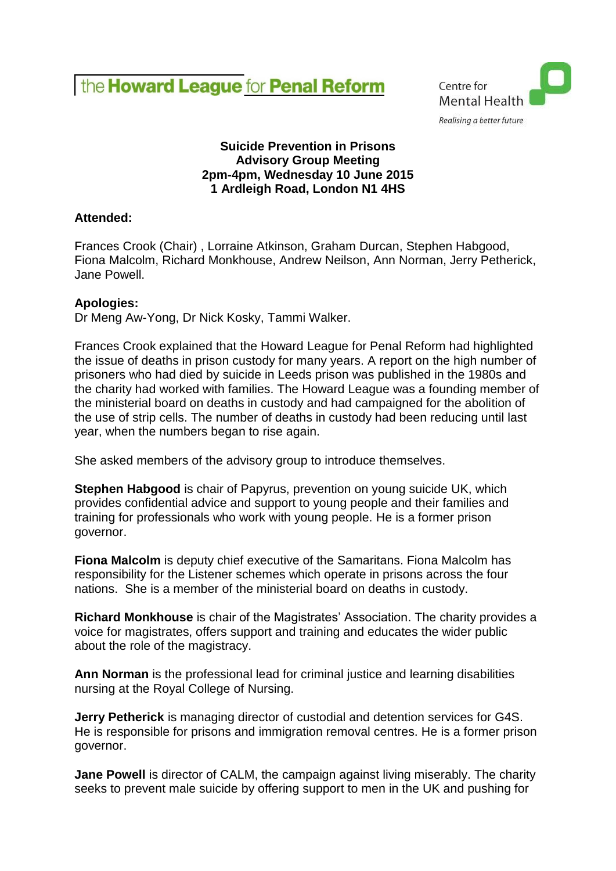



## **Suicide Prevention in Prisons Advisory Group Meeting 2pm-4pm, Wednesday 10 June 2015 1 Ardleigh Road, London N1 4HS**

# **Attended:**

Frances Crook (Chair) , Lorraine Atkinson, Graham Durcan, Stephen Habgood, Fiona Malcolm, Richard Monkhouse, Andrew Neilson, Ann Norman, Jerry Petherick, Jane Powell.

## **Apologies:**

Dr Meng Aw-Yong, Dr Nick Kosky, Tammi Walker.

Frances Crook explained that the Howard League for Penal Reform had highlighted the issue of deaths in prison custody for many years. A report on the high number of prisoners who had died by suicide in Leeds prison was published in the 1980s and the charity had worked with families. The Howard League was a founding member of the ministerial board on deaths in custody and had campaigned for the abolition of the use of strip cells. The number of deaths in custody had been reducing until last year, when the numbers began to rise again.

She asked members of the advisory group to introduce themselves.

**Stephen Habgood** is chair of Papyrus, prevention on young suicide UK, which provides confidential advice and support to young people and their families and training for professionals who work with young people. He is a former prison governor.

**Fiona Malcolm** is deputy chief executive of the Samaritans. Fiona Malcolm has responsibility for the Listener schemes which operate in prisons across the four nations. She is a member of the ministerial board on deaths in custody.

**Richard Monkhouse** is chair of the Magistrates' Association. The charity provides a voice for magistrates, offers support and training and educates the wider public about the role of the magistracy.

**Ann Norman** is the professional lead for criminal justice and learning disabilities nursing at the Royal College of Nursing.

**Jerry Petherick** is managing director of custodial and detention services for G4S. He is responsible for prisons and immigration removal centres. He is a former prison governor.

**Jane Powell** is director of CALM, the campaign against living miserably. The charity seeks to prevent male suicide by offering support to men in the UK and pushing for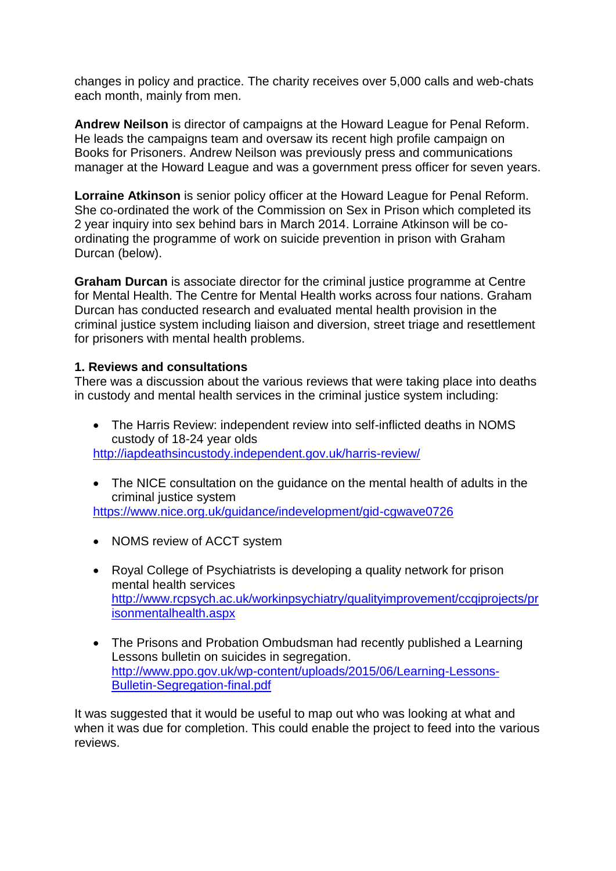changes in policy and practice. The charity receives over 5,000 calls and web-chats each month, mainly from men.

**Andrew Neilson** is director of campaigns at the Howard League for Penal Reform. He leads the campaigns team and oversaw its recent high profile campaign on Books for Prisoners. Andrew Neilson was previously press and communications manager at the Howard League and was a government press officer for seven years.

**Lorraine Atkinson** is senior policy officer at the Howard League for Penal Reform. She co-ordinated the work of the Commission on Sex in Prison which completed its 2 year inquiry into sex behind bars in March 2014. Lorraine Atkinson will be coordinating the programme of work on suicide prevention in prison with Graham Durcan (below).

**Graham Durcan** is associate director for the criminal justice programme at Centre for Mental Health. The Centre for Mental Health works across four nations. Graham Durcan has conducted research and evaluated mental health provision in the criminal justice system including liaison and diversion, street triage and resettlement for prisoners with mental health problems.

## **1. Reviews and consultations**

There was a discussion about the various reviews that were taking place into deaths in custody and mental health services in the criminal justice system including:

- The Harris Review: independent review into self-inflicted deaths in NOMS custody of 18-24 year olds <http://iapdeathsincustody.independent.gov.uk/harris-review/>
- The NICE consultation on the quidance on the mental health of adults in the criminal justice system <https://www.nice.org.uk/guidance/indevelopment/gid-cgwave0726>
- NOMS review of ACCT system
- Royal College of Psychiatrists is developing a quality network for prison mental health services [http://www.rcpsych.ac.uk/workinpsychiatry/qualityimprovement/ccqiprojects/pr](http://www.rcpsych.ac.uk/workinpsychiatry/qualityimprovement/ccqiprojects/prisonmentalhealth.aspx) [isonmentalhealth.aspx](http://www.rcpsych.ac.uk/workinpsychiatry/qualityimprovement/ccqiprojects/prisonmentalhealth.aspx)
- The Prisons and Probation Ombudsman had recently published a Learning Lessons bulletin on suicides in segregation. [http://www.ppo.gov.uk/wp-content/uploads/2015/06/Learning-Lessons-](http://www.ppo.gov.uk/wp-content/uploads/2015/06/Learning-Lessons-Bulletin-Segregation-final.pdf)[Bulletin-Segregation-final.pdf](http://www.ppo.gov.uk/wp-content/uploads/2015/06/Learning-Lessons-Bulletin-Segregation-final.pdf)

It was suggested that it would be useful to map out who was looking at what and when it was due for completion. This could enable the project to feed into the various reviews.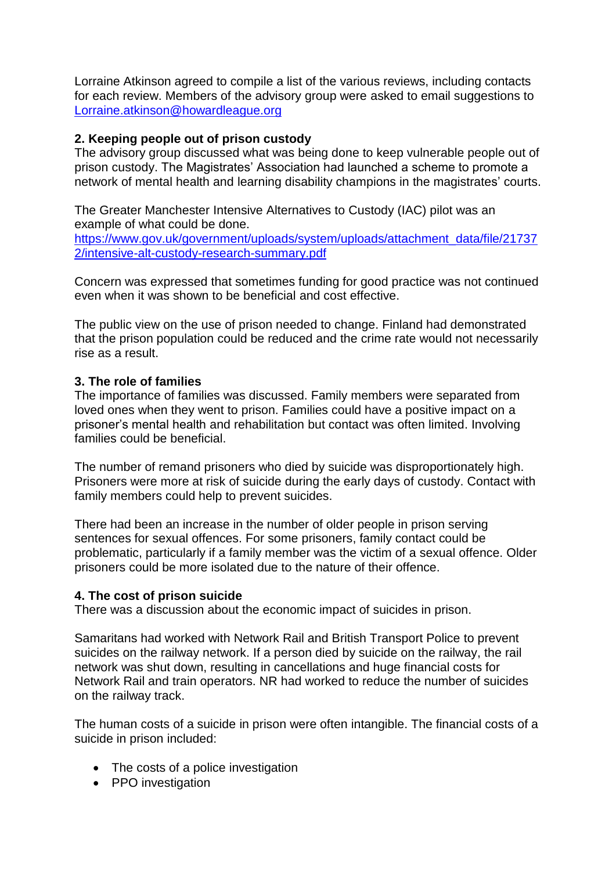Lorraine Atkinson agreed to compile a list of the various reviews, including contacts for each review. Members of the advisory group were asked to email suggestions to [Lorraine.atkinson@howardleague.org](mailto:Lorraine.atkinson@howardleague.org)

## **2. Keeping people out of prison custody**

The advisory group discussed what was being done to keep vulnerable people out of prison custody. The Magistrates' Association had launched a scheme to promote a network of mental health and learning disability champions in the magistrates' courts.

The Greater Manchester Intensive Alternatives to Custody (IAC) pilot was an example of what could be done.

[https://www.gov.uk/government/uploads/system/uploads/attachment\\_data/file/21737](https://www.gov.uk/government/uploads/system/uploads/attachment_data/file/217372/intensive-alt-custody-research-summary.pdf) [2/intensive-alt-custody-research-summary.pdf](https://www.gov.uk/government/uploads/system/uploads/attachment_data/file/217372/intensive-alt-custody-research-summary.pdf)

Concern was expressed that sometimes funding for good practice was not continued even when it was shown to be beneficial and cost effective.

The public view on the use of prison needed to change. Finland had demonstrated that the prison population could be reduced and the crime rate would not necessarily rise as a result.

## **3. The role of families**

The importance of families was discussed. Family members were separated from loved ones when they went to prison. Families could have a positive impact on a prisoner's mental health and rehabilitation but contact was often limited. Involving families could be beneficial.

The number of remand prisoners who died by suicide was disproportionately high. Prisoners were more at risk of suicide during the early days of custody. Contact with family members could help to prevent suicides.

There had been an increase in the number of older people in prison serving sentences for sexual offences. For some prisoners, family contact could be problematic, particularly if a family member was the victim of a sexual offence. Older prisoners could be more isolated due to the nature of their offence.

### **4. The cost of prison suicide**

There was a discussion about the economic impact of suicides in prison.

Samaritans had worked with Network Rail and British Transport Police to prevent suicides on the railway network. If a person died by suicide on the railway, the rail network was shut down, resulting in cancellations and huge financial costs for Network Rail and train operators. NR had worked to reduce the number of suicides on the railway track.

The human costs of a suicide in prison were often intangible. The financial costs of a suicide in prison included:

- The costs of a police investigation
- PPO investigation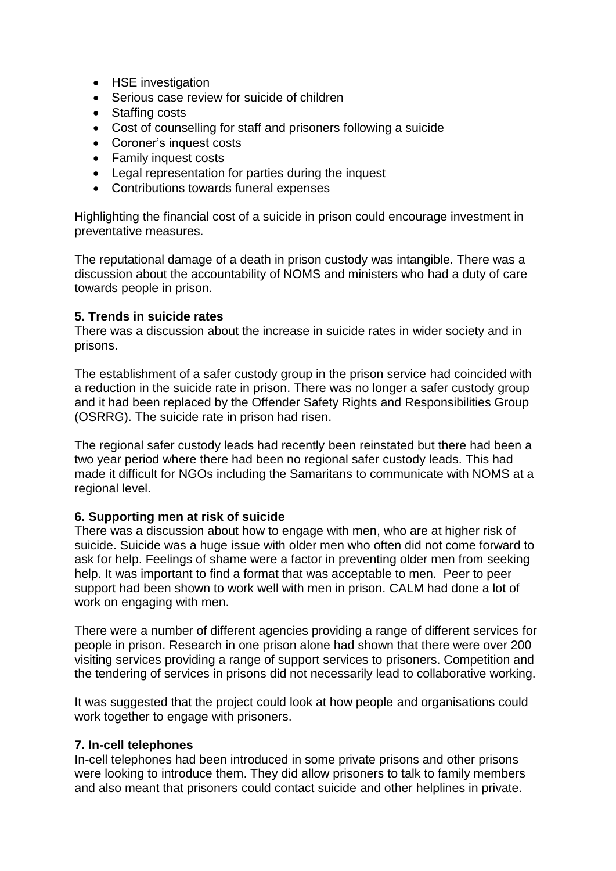- HSE investigation
- Serious case review for suicide of children
- Staffing costs
- Cost of counselling for staff and prisoners following a suicide
- Coroner's inquest costs
- Family inquest costs
- Legal representation for parties during the inquest
- Contributions towards funeral expenses

Highlighting the financial cost of a suicide in prison could encourage investment in preventative measures.

The reputational damage of a death in prison custody was intangible. There was a discussion about the accountability of NOMS and ministers who had a duty of care towards people in prison.

### **5. Trends in suicide rates**

There was a discussion about the increase in suicide rates in wider society and in prisons.

The establishment of a safer custody group in the prison service had coincided with a reduction in the suicide rate in prison. There was no longer a safer custody group and it had been replaced by the Offender Safety Rights and Responsibilities Group (OSRRG). The suicide rate in prison had risen.

The regional safer custody leads had recently been reinstated but there had been a two year period where there had been no regional safer custody leads. This had made it difficult for NGOs including the Samaritans to communicate with NOMS at a regional level.

### **6. Supporting men at risk of suicide**

There was a discussion about how to engage with men, who are at higher risk of suicide. Suicide was a huge issue with older men who often did not come forward to ask for help. Feelings of shame were a factor in preventing older men from seeking help. It was important to find a format that was acceptable to men. Peer to peer support had been shown to work well with men in prison. CALM had done a lot of work on engaging with men.

There were a number of different agencies providing a range of different services for people in prison. Research in one prison alone had shown that there were over 200 visiting services providing a range of support services to prisoners. Competition and the tendering of services in prisons did not necessarily lead to collaborative working.

It was suggested that the project could look at how people and organisations could work together to engage with prisoners.

### **7. In-cell telephones**

In-cell telephones had been introduced in some private prisons and other prisons were looking to introduce them. They did allow prisoners to talk to family members and also meant that prisoners could contact suicide and other helplines in private.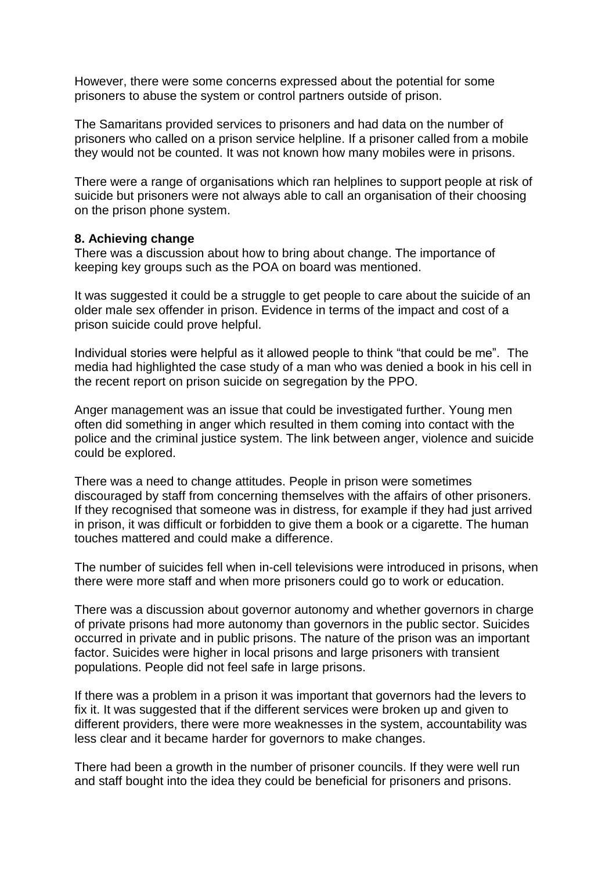However, there were some concerns expressed about the potential for some prisoners to abuse the system or control partners outside of prison.

The Samaritans provided services to prisoners and had data on the number of prisoners who called on a prison service helpline. If a prisoner called from a mobile they would not be counted. It was not known how many mobiles were in prisons.

There were a range of organisations which ran helplines to support people at risk of suicide but prisoners were not always able to call an organisation of their choosing on the prison phone system.

#### **8. Achieving change**

There was a discussion about how to bring about change. The importance of keeping key groups such as the POA on board was mentioned.

It was suggested it could be a struggle to get people to care about the suicide of an older male sex offender in prison. Evidence in terms of the impact and cost of a prison suicide could prove helpful.

Individual stories were helpful as it allowed people to think "that could be me". The media had highlighted the case study of a man who was denied a book in his cell in the recent report on prison suicide on segregation by the PPO.

Anger management was an issue that could be investigated further. Young men often did something in anger which resulted in them coming into contact with the police and the criminal justice system. The link between anger, violence and suicide could be explored.

There was a need to change attitudes. People in prison were sometimes discouraged by staff from concerning themselves with the affairs of other prisoners. If they recognised that someone was in distress, for example if they had just arrived in prison, it was difficult or forbidden to give them a book or a cigarette. The human touches mattered and could make a difference.

The number of suicides fell when in-cell televisions were introduced in prisons, when there were more staff and when more prisoners could go to work or education.

There was a discussion about governor autonomy and whether governors in charge of private prisons had more autonomy than governors in the public sector. Suicides occurred in private and in public prisons. The nature of the prison was an important factor. Suicides were higher in local prisons and large prisoners with transient populations. People did not feel safe in large prisons.

If there was a problem in a prison it was important that governors had the levers to fix it. It was suggested that if the different services were broken up and given to different providers, there were more weaknesses in the system, accountability was less clear and it became harder for governors to make changes.

There had been a growth in the number of prisoner councils. If they were well run and staff bought into the idea they could be beneficial for prisoners and prisons.